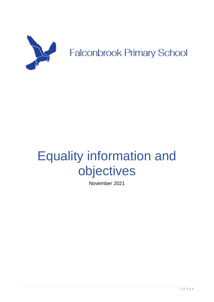

# Equality information and objectives

November 2021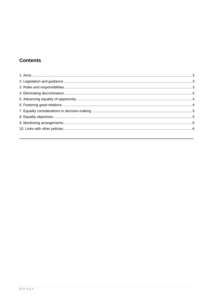# **Contents**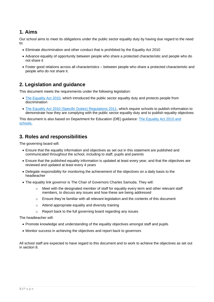### <span id="page-2-0"></span>**1. Aims**

Our school aims to meet its obligations under the public sector equality duty by having due regard to the need to:

- Eliminate discrimination and other conduct that is prohibited by the Equality Act 2010
- Advance equality of opportunity between people who share a protected characteristic and people who do not share it
- Foster good relations across all characteristics between people who share a protected characteristic and people who do not share it.

#### <span id="page-2-1"></span>**2. Legislation and guidance**

This document meets the requirements under the following legislation:

- [The Equality Act 2010,](http://www.legislation.gov.uk/ukpga/2010/15/contents) which introduced the public sector equality duty and protects people from discrimination
- [The Equality Act 2010 \(Specific Duties\) Regulations 2011,](http://www.legislation.gov.uk/uksi/2011/2260/contents/made) which require schools to publish information to demonstrate how they are complying with the public sector equality duty and to publish equality objectives

This document is also based on Department for Education (DfE) guidance: [The Equality Act 2010 and](https://www.gov.uk/government/publications/equality-act-2010-advice-for-schools)  [schools.](https://www.gov.uk/government/publications/equality-act-2010-advice-for-schools) 

#### <span id="page-2-2"></span>**3. Roles and responsibilities**

The governing board will:

- Ensure that the equality information and objectives as set out in this statement are published and communicated throughout the school, including to staff, pupils and parents
- Ensure that the published equality information is updated at least every year, and that the objectives are reviewed and updated at least every 4 years
- Delegate responsibility for monitoring the achievement of the objectives on a daily basis to the headteacher
- The equality link governor is The Chair of Governors Charles Samuda. They will:
	- o Meet with the designated member of staff for equality every term and other relevant staff members, to discuss any issues and how these are being addressed
	- $\circ$  Ensure they're familiar with all relevant legislation and the contents of this document
	- o Attend appropriate equality and diversity training
	- o Report back to the full governing board regarding any issues

The headteacher will:

- Promote knowledge and understanding of the equality objectives amongst staff and pupils
- Monitor success in achieving the objectives and report back to governors

All school staff are expected to have regard to this document and to work to achieve the objectives as set out in section 8.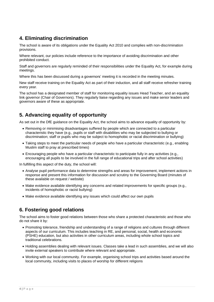## <span id="page-3-0"></span>**4. Eliminating discrimination**

The school is aware of its obligations under the Equality Act 2010 and complies with non-discrimination provisions.

Where relevant, our policies include reference to the importance of avoiding discrimination and other prohibited conduct.

Staff and governors are regularly reminded of their responsibilities under the Equality Act, for example during meetings.

Where this has been discussed during a governors' meeting it is recorded in the meeting minutes.

New staff receive training on the Equality Act as part of their induction, and all staff receive refresher training every year.

The school has a designated member of staff for monitoring equality issues Head Teacher, and an equality link governor (Chair of Governors). They regularly liaise regarding any issues and make senior leaders and governors aware of these as appropriate.

## <span id="page-3-1"></span>**5. Advancing equality of opportunity**

As set out in the DfE guidance on the Equality Act, the school aims to advance equality of opportunity by:

- Removing or minimising disadvantages suffered by people which are connected to a particular characteristic they have (e.g., pupils or staff with disabilities who may be subjected to bullying or discrimination; staff or pupils who may be subject to homophobic or racial discrimination or bullying)
- Taking steps to meet the particular needs of people who have a particular characteristic (e.g., enabling Muslim staff to pray at prescribed times)
- Encouraging people who have a particular characteristic to participate fully in any activities (e.g., encouraging all pupils to be involved in the full range of educational trips and after school activities)

In fulfilling this aspect of the duty, the school will:

- Analyse pupil performance data to determine strengths and areas for improvement, implement actions in response and present this information for discussion and scrutiny to the Governing Board (minutes of these available on request / website)
- Make evidence available identifying any concerns and related improvements for specific groups (e.g., incidents of homophobic or racist bullying)
- Make evidence available identifying any issues which could affect our own pupils

#### <span id="page-3-2"></span>**6. Fostering good relations**

The school aims to foster good relations between those who share a protected characteristic and those who do not share it by:

- Promoting tolerance, friendship and understanding of a range of religions and cultures through different aspects of our curriculum. This includes teaching in RE, and personal, social, health and economic (PSHE) education, but also activities in other curriculum areas, including whole school topics and traditional celebrations.
- Holding assemblies dealing with relevant issues. Classes take a lead in such assemblies, and we will also invite external speakers to contribute where relevant and appropriate.
- Working with our local community. For example, organising school trips and activities based around the local community, including visits to places of worship for different religions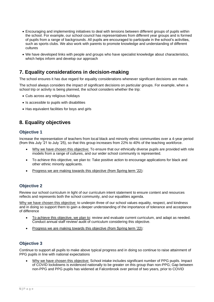- Encouraging and implementing initiatives to deal with tensions between different groups of pupils within the school. For example, our school council has representatives from different year groups and is formed of pupils from a range of backgrounds. All pupils are encouraged to participate in the school's activities, such as sports clubs. We also work with parents to promote knowledge and understanding of different cultures
- We have developed links with people and groups who have specialist knowledge about characteristics, which helps inform and develop our approach

#### <span id="page-4-0"></span>**7. Equality considerations in decision-making**

The school ensures it has due regard for equality considerations whenever significant decisions are made.

The school always considers the impact of significant decisions on particular groups. For example, when a school trip or activity is being planned, the school considers whether the trip:

- Cuts across any religious holidays
- Is accessible to pupils with disabilities
- Has equivalent facilities for boys and girls

### <span id="page-4-1"></span>**8. Equality objectives**

#### **Objective 1**

Increase the representation of teachers from local black and minority ethnic communities over a 4-year period (from this July '21 to July '25), so that this group increases from 22% to 40% of the teaching workforce.

- Why we have chosen this objective: To ensure that our ethnically diverse pupils are provided with role models from a range of cultures, and our wider school community is represented.
- To achieve this objective, we plan to: Take positive action to encourage applications for black and other ethnic minority applicants.
- Progress we are making towards this objective (from Spring term '22):

#### **Objective 2**

Review our school curriculum in light of our curriculum intent statement to ensure content and resources reflects and represents both the school community, and our equalities agenda.

Why we have chosen this objective: to underpin three of our school values equality, respect, and kindness and in doing so support them to gain a deeper understanding of the importance of tolerance and acceptance of difference

- To achieve this objective, we plan to: review and evaluate current curriculum, and adapt as needed. Conduct annual staff review/ audit of curriculum considering this objective.
- Progress we are making towards this objective (from Spring term '22):

#### **Objective 3**

Continue to support all pupils to make above typical progress and in doing so continue to raise attainment of PPG pupils in line with national expectations

• Why we have chosen this objective: School intake includes significant number of PPG pupils. Impact of COVID lockdowns is evidenced nationally to be greater on this group than non-PPG; Gap between non-PPG and PPG pupils has widened at Falconbrook over period of two years, prior to COVID